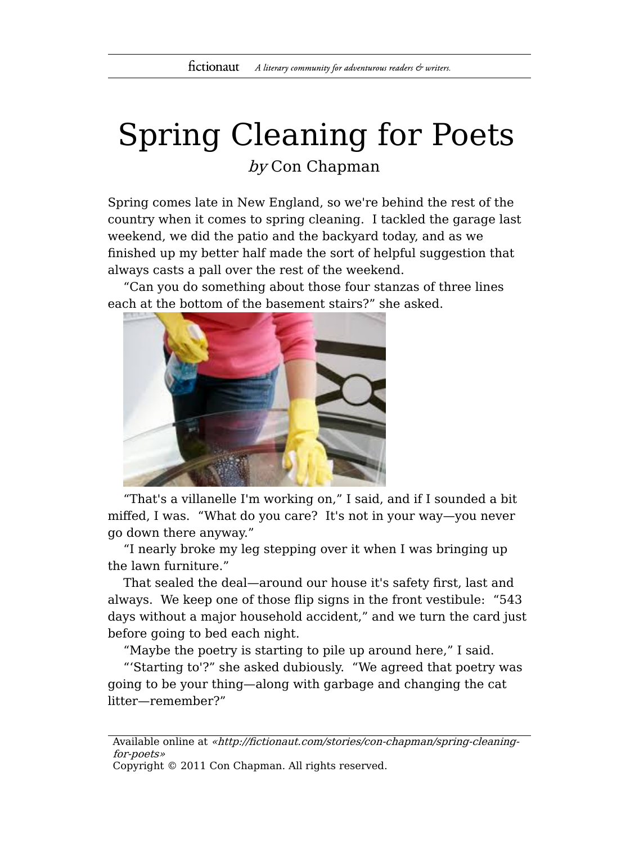## Spring Cleaning for Poets by Con Chapman

Spring comes late in New England, so we're behind the rest of the country when it comes to spring cleaning. I tackled the garage last weekend, we did the patio and the backyard today, and as we finished up my better half made the sort of helpful suggestion that always casts a pall over the rest of the weekend.

"Can you do something about those four stanzas of three lines each at the bottom of the basement stairs?" she asked.



"That's a villanelle I'm working on," I said, and if I sounded a bit miffed, I was. "What do you care? It's not in your way—you never go down there anyway."

"I nearly broke my leg stepping over it when I was bringing up the lawn furniture."

That sealed the deal—around our house it's safety first, last and always. We keep one of those flip signs in the front vestibule: "543 days without a major household accident," and we turn the card just before going to bed each night.

"Maybe the poetry is starting to pile up around here," I said.

"'Starting to'?" she asked dubiously. "We agreed that poetry was going to be your thing—along with garbage and changing the cat litter—remember?"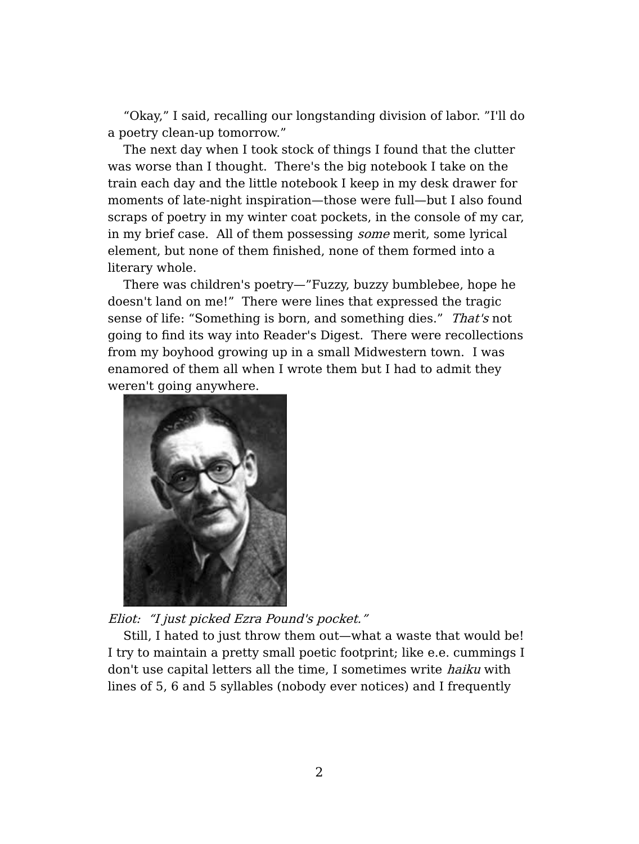"Okay," I said, recalling our longstanding division of labor. "I'll do a poetry clean-up tomorrow."

The next day when I took stock of things I found that the clutter was worse than I thought. There's the big notebook I take on the train each day and the little notebook I keep in my desk drawer for moments of late-night inspiration—those were full—but I also found scraps of poetry in my winter coat pockets, in the console of my car, in my brief case. All of them possessing some merit, some lyrical element, but none of them finished, none of them formed into a literary whole.

There was children's poetry—"Fuzzy, buzzy bumblebee, hope he doesn't land on me!" There were lines that expressed the tragic sense of life: "Something is born, and something dies." That's not going to find its way into Reader's Digest. There were recollections from my boyhood growing up in a small Midwestern town. I was enamored of them all when I wrote them but I had to admit they weren't going anywhere.



Eliot: "I just picked Ezra Pound's pocket."

Still, I hated to just throw them out—what a waste that would be! I try to maintain a pretty small poetic footprint; like e.e. cummings I don't use capital letters all the time, I sometimes write haiku with lines of 5, 6 and 5 syllables (nobody ever notices) and I frequently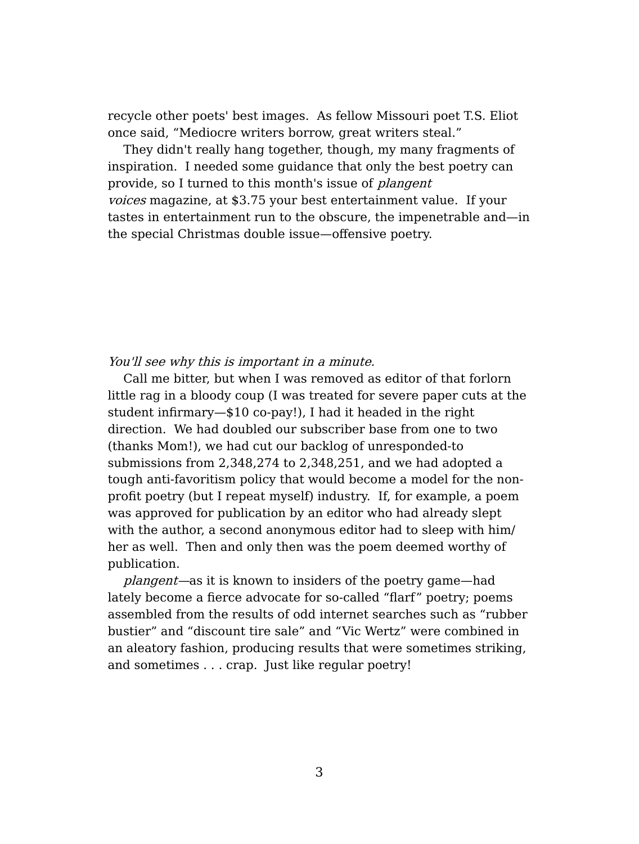recycle other poets' best images. As fellow Missouri poet T.S. Eliot once said, "Mediocre writers borrow, great writers steal."

They didn't really hang together, though, my many fragments of inspiration. I needed some guidance that only the best poetry can provide, so I turned to this month's issue of *plangent* voices magazine, at \$3.75 your best entertainment value. If your tastes in entertainment run to the obscure, the impenetrable and—in the special Christmas double issue—offensive poetry.

## You'll see why this is important in a minute.

Call me bitter, but when I was removed as editor of that forlorn little rag in a bloody coup (I was treated for severe paper cuts at the student infirmary—\$10 co-pay!), I had it headed in the right direction. We had doubled our subscriber base from one to two (thanks Mom!), we had cut our backlog of unresponded-to submissions from 2,348,274 to 2,348,251, and we had adopted a tough anti-favoritism policy that would become a model for the nonprofit poetry (but I repeat myself) industry. If, for example, a poem was approved for publication by an editor who had already slept with the author, a second anonymous editor had to sleep with him/ her as well. Then and only then was the poem deemed worthy of publication.

plangent—as it is known to insiders of the poetry game—had lately become a fierce advocate for so-called "flarf" poetry; poems assembled from the results of odd internet searches such as "rubber bustier" and "discount tire sale" and "Vic Wertz" were combined in an aleatory fashion, producing results that were sometimes striking, and sometimes . . . crap. Just like regular poetry!